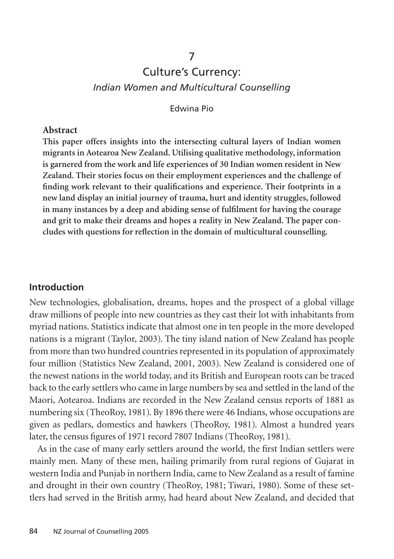# Culture's Currency: *Indian Women and Multicultural Counselling*

7

Edwina Pio

#### **Abstract**

**This paper offers insights into the intersecting cultural layers of Indian women migrants in Aotearoa New Zealand. Utilising qualitative methodology, information is garnered from the work and life experiences of 30 Indian women resident in New Zealand. Their stories focus on their employment experiences and the challenge of finding work relevant to their qualifications and experience. Their footprints in a new land display an initial journey of trauma, hurt and identity struggles, followed in many instances by a deep and abiding sense of fulfilment for having the courage and grit to make their dreams and hopes a reality in New Zealand. The paper concludes with questions for reflection in the domain of multicultural counselling.**

### **Introduction**

New technologies, globalisation, dreams, hopes and the prospect of a global village draw millions of people into new countries as they cast their lot with inhabitants from myriad nations. Statistics indicate that almost one in ten people in the more developed nations is a migrant (Taylor, 2003). The tiny island nation of New Zealand has people from more than two hundred countries represented in its population of approximately four million (Statistics New Zealand, 2001, 2003). New Zealand is considered one of the newest nations in the world today, and its British and European roots can be traced back to the early settlers who came in large numbers by sea and settled in the land of the Maori, Aotearoa. Indians are recorded in the New Zealand census reports of 1881 as numbering six (TheoRoy, 1981). By 1896 there were 46 Indians, whose occupations are given as pedlars, domestics and hawkers (TheoRoy, 1981). Almost a hundred years later, the census figures of 1971 record 7807 Indians (TheoRoy, 1981).

As in the case of many early settlers around the world, the first Indian settlers were mainly men. Many of these men, hailing primarily from rural regions of Gujarat in western India and Punjab in northern India, came to New Zealand as a result of famine and drought in their own country (TheoRoy, 1981; Tiwari, 1980). Some of these settlers had served in the British army, had heard about New Zealand, and decided that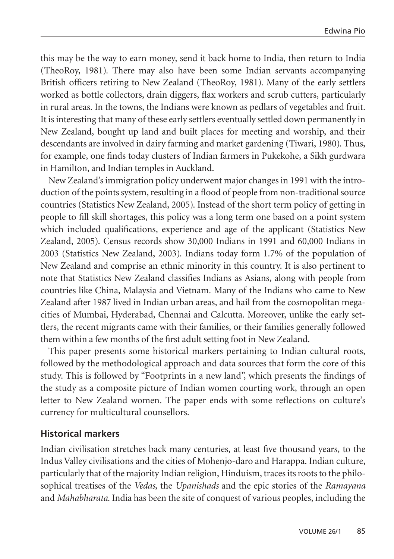this may be the way to earn money, send it back home to India, then return to India (TheoRoy, 1981). There may also have been some Indian servants accompanying British officers retiring to New Zealand (TheoRoy, 1981). Many of the early settlers worked as bottle collectors, drain diggers, flax workers and scrub cutters, particularly in rural areas. In the towns, the Indians were known as pedlars of vegetables and fruit. It is interesting that many of these early settlers eventually settled down permanently in New Zealand, bought up land and built places for meeting and worship, and their descendants are involved in dairy farming and market gardening (Tiwari, 1980). Thus, for example, one finds today clusters of Indian farmers in Pukekohe, a Sikh gurdwara in Hamilton, and Indian temples in Auckland.

New Zealand's immigration policy underwent major changes in 1991 with the introduction of the points system, resulting in a flood of people from non-traditional source countries (Statistics New Zealand, 2005). Instead of the short term policy of getting in people to fill skill shortages, this policy was a long term one based on a point system which included qualifications, experience and age of the applicant (Statistics New Zealand, 2005). Census records show 30,000 Indians in 1991 and 60,000 Indians in 2003 (Statistics New Zealand, 2003). Indians today form 1.7% of the population of New Zealand and comprise an ethnic minority in this country. It is also pertinent to note that Statistics New Zealand classifies Indians as Asians, along with people from countries like China, Malaysia and Vietnam. Many of the Indians who came to New Zealand after 1987 lived in Indian urban areas, and hail from the cosmopolitan megacities of Mumbai, Hyderabad, Chennai and Calcutta. Moreover, unlike the early settlers, the recent migrants came with their families, or their families generally followed them within a few months of the first adult setting foot in New Zealand.

This paper presents some historical markers pertaining to Indian cultural roots, followed by the methodological approach and data sources that form the core of this study. This is followed by "Footprints in a new land", which presents the findings of the study as a composite picture of Indian women courting work, through an open letter to New Zealand women. The paper ends with some reflections on culture's currency for multicultural counsellors.

#### **Historical markers**

Indian civilisation stretches back many centuries, at least five thousand years, to the Indus Valley civilisations and the cities of Mohenjo-daro and Harappa. Indian culture, particularly that of the majority Indian religion, Hinduism, traces its roots to the philosophical treatises of the *Vedas*, the *Upanishads* and the epic stories of the *Ramayana* and *Mahabharata*. India has been the site of conquest of various peoples, including the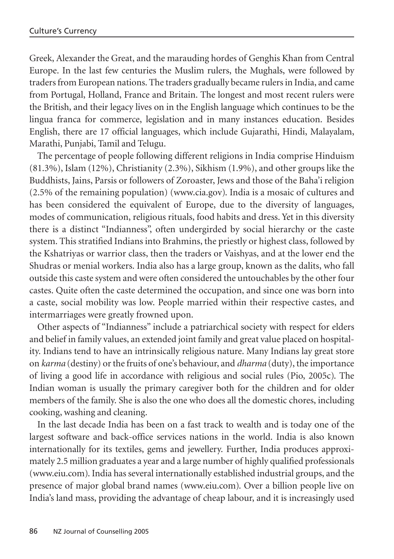Greek, Alexander the Great, and the marauding hordes of Genghis Khan from Central Europe. In the last few centuries the Muslim rulers, the Mughals, were followed by traders from European nations. The traders gradually became rulers in India, and came from Portugal, Holland, France and Britain. The longest and most recent rulers were the British, and their legacy lives on in the English language which continues to be the lingua franca for commerce, legislation and in many instances education. Besides English, there are 17 official languages, which include Gujarathi, Hindi, Malayalam, Marathi, Punjabi, Tamil and Telugu.

The percentage of people following different religions in India comprise Hinduism (81.3%), Islam (12%), Christianity (2.3%), Sikhism (1.9%), and other groups like the Buddhists, Jains, Parsis or followers of Zoroaster, Jews and those of the Baha'i religion (2.5% of the remaining population) (www.cia.gov). India is a mosaic of cultures and has been considered the equivalent of Europe, due to the diversity of languages, modes of communication, religious rituals, food habits and dress. Yet in this diversity there is a distinct "Indianness", often undergirded by social hierarchy or the caste system. This stratified Indians into Brahmins, the priestly or highest class, followed by the Kshatriyas or warrior class, then the traders or Vaishyas, and at the lower end the Shudras or menial workers. India also has a large group, known as the dalits, who fall outside this caste system and were often considered the untouchables by the other four castes. Quite often the caste determined the occupation, and since one was born into a caste, social mobility was low. People married within their respective castes, and intermarriages were greatly frowned upon.

Other aspects of "Indianness" include a patriarchical society with respect for elders and belief in family values, an extended joint family and great value placed on hospitality. Indians tend to have an intrinsically religious nature. Many Indians lay great store on *karma* (destiny) or the fruits of one's behaviour, and *dharma* (duty), the importance of living a good life in accordance with religious and social rules (Pio, 2005c). The Indian woman is usually the primary caregiver both for the children and for older members of the family. She is also the one who does all the domestic chores, including cooking, washing and cleaning.

In the last decade India has been on a fast track to wealth and is today one of the largest software and back-office services nations in the world. India is also known internationally for its textiles, gems and jewellery. Further, India produces approximately 2.5 million graduates a year and a large number of highly qualified professionals (www.eiu.com). India has several internationally established industrial groups, and the presence of major global brand names (www.eiu.com). Over a billion people live on India's land mass, providing the advantage of cheap labour, and it is increasingly used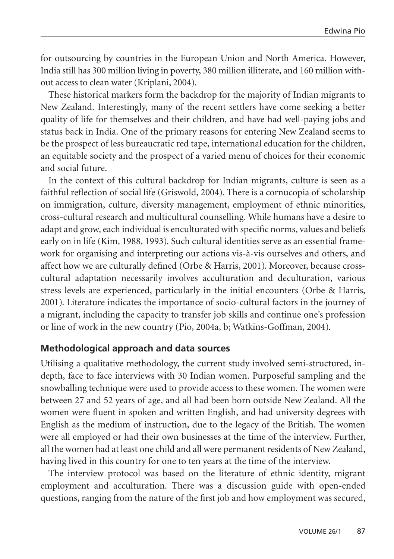for outsourcing by countries in the European Union and North America. However, India still has 300 million living in poverty, 380 million illiterate, and 160 million without access to clean water (Kriplani, 2004).

These historical markers form the backdrop for the majority of Indian migrants to New Zealand. Interestingly, many of the recent settlers have come seeking a better quality of life for themselves and their children, and have had well-paying jobs and status back in India. One of the primary reasons for entering New Zealand seems to be the prospect of less bureaucratic red tape, international education for the children, an equitable society and the prospect of a varied menu of choices for their economic and social future.

In the context of this cultural backdrop for Indian migrants, culture is seen as a faithful reflection of social life (Griswold, 2004). There is a cornucopia of scholarship on immigration, culture, diversity management, employment of ethnic minorities, cross-cultural research and multicultural counselling. While humans have a desire to adapt and grow, each individual is enculturated with specific norms, values and beliefs early on in life (Kim, 1988, 1993). Such cultural identities serve as an essential framework for organising and interpreting our actions vis-à-vis ourselves and others, and affect how we are culturally defined (Orbe & Harris, 2001). Moreover, because crosscultural adaptation necessarily involves acculturation and deculturation, various stress levels are experienced, particularly in the initial encounters (Orbe & Harris, 2001). Literature indicates the importance of socio-cultural factors in the journey of a migrant, including the capacity to transfer job skills and continue one's profession or line of work in the new country (Pio, 2004a, b; Watkins-Goffman, 2004).

## **Methodological approach and data sources**

Utilising a qualitative methodology, the current study involved semi-structured, indepth, face to face interviews with 30 Indian women. Purposeful sampling and the snowballing technique were used to provide access to these women. The women were between 27 and 52 years of age, and all had been born outside New Zealand. All the women were fluent in spoken and written English, and had university degrees with English as the medium of instruction, due to the legacy of the British. The women were all employed or had their own businesses at the time of the interview. Further, all the women had at least one child and all were permanent residents of New Zealand, having lived in this country for one to ten years at the time of the interview.

The interview protocol was based on the literature of ethnic identity, migrant employment and acculturation. There was a discussion guide with open-ended questions, ranging from the nature of the first job and how employment was secured,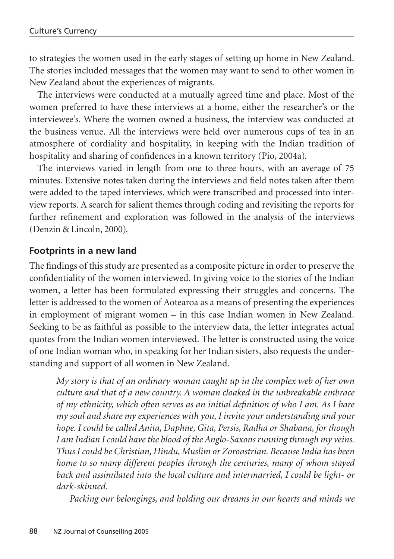to strategies the women used in the early stages of setting up home in New Zealand. The stories included messages that the women may want to send to other women in New Zealand about the experiences of migrants.

The interviews were conducted at a mutually agreed time and place. Most of the women preferred to have these interviews at a home, either the researcher's or the interviewee's. Where the women owned a business, the interview was conducted at the business venue. All the interviews were held over numerous cups of tea in an atmosphere of cordiality and hospitality, in keeping with the Indian tradition of hospitality and sharing of confidences in a known territory (Pio, 2004a).

The interviews varied in length from one to three hours, with an average of 75 minutes. Extensive notes taken during the interviews and field notes taken after them were added to the taped interviews, which were transcribed and processed into interview reports. A search for salient themes through coding and revisiting the reports for further refinement and exploration was followed in the analysis of the interviews (Denzin & Lincoln, 2000).

# **Footprints in a new land**

The findings of this study are presented as a composite picture in order to preserve the confidentiality of the women interviewed. In giving voice to the stories of the Indian women, a letter has been formulated expressing their struggles and concerns. The letter is addressed to the women of Aotearoa as a means of presenting the experiences in employment of migrant women – in this case Indian women in New Zealand. Seeking to be as faithful as possible to the interview data, the letter integrates actual quotes from the Indian women interviewed. The letter is constructed using the voice of one Indian woman who, in speaking for her Indian sisters, also requests the understanding and support of all women in New Zealand.

*My story is that of an ordinary woman caught up in the complex web of her own culture and that of a new country. A woman cloaked in the unbreakable embrace of my ethnicity, which often serves as an initial definition of who I am. As I bare my soul and share my experiences with you, I invite your understanding and your hope. I could be called Anita, Daphne, Gita, Persis, Radha or Shabana, for though I am Indian I could have the blood of the Anglo-Saxons running through my veins. Thus I could be Christian, Hindu, Muslim or Zoroastrian. Because India has been home to so many different peoples through the centuries, many of whom stayed back and assimilated into the local culture and intermarried, I could be light- or dark-skinned.*

*Packing our belongings, and holding our dreams in our hearts and minds we*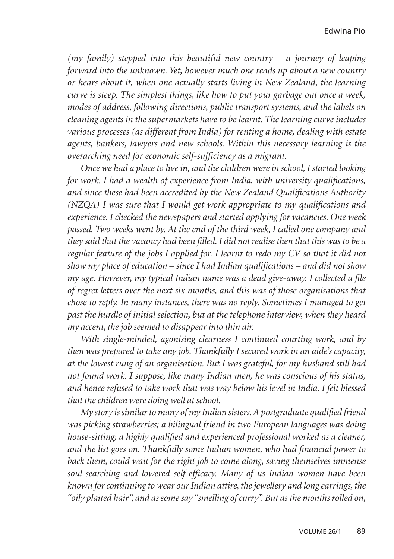*(my family) stepped into this beautiful new country – a journey of leaping forward into the unknown. Yet, however much one reads up about a new country or hears about it, when one actually starts living in New Zealand, the learning curve is steep. The simplest things, like how to put your garbage out once a week, modes of address, following directions, public transport systems, and the labels on cleaning agents in the supermarkets have to be learnt. The learning curve includes various processes (as different from India) for renting a home, dealing with estate agents, bankers, lawyers and new schools. Within this necessary learning is the overarching need for economic self-sufficiency as a migrant.*

*Once we had a place to live in, and the children were in school, I started looking for work. I had a wealth of experience from India, with university qualifications, and since these had been accredited by the New Zealand Qualifications Authority (NZQA) I was sure that I would get work appropriate to my qualifications and experience. I checked the newspapers and started applying for vacancies. One week passed. Two weeks went by. At the end of the third week, I called one company and they said that the vacancy had been filled. I did not realise then that this was to be a regular feature of the jobs I applied for. I learnt to redo my CV so that it did not show my place of education – since I had Indian qualifications – and did not show my age. However, my typical Indian name was a dead give-away. I collected a file of regret letters over the next six months, and this was of those organisations that chose to reply. In many instances, there was no reply. Sometimes I managed to get past the hurdle of initial selection, but at the telephone interview, when they heard my accent, the job seemed to disappear into thin air.*

*With single-minded, agonising clearness I continued courting work, and by then was prepared to take any job. Thankfully I secured work in an aide's capacity, at the lowest rung of an organisation. But I was grateful, for my husband still had not found work. I suppose, like many Indian men, he was conscious of his status, and hence refused to take work that was way below his level in India. I felt blessed that the children were doing well at school.*

*My story is similar to many of my Indian sisters. A postgraduate qualified friend was picking strawberries; a bilingual friend in two European languages was doing house-sitting; a highly qualified and experienced professional worked as a cleaner, and the list goes on. Thankfully some Indian women, who had financial power to back them, could wait for the right job to come along, saving themselves immense soul-searching and lowered self-efficacy. Many of us Indian women have been known for continuing to wear our Indian attire, the jewellery and long earrings, the "oily plaited hair", and as some say "smelling of curry". But as the months rolled on,*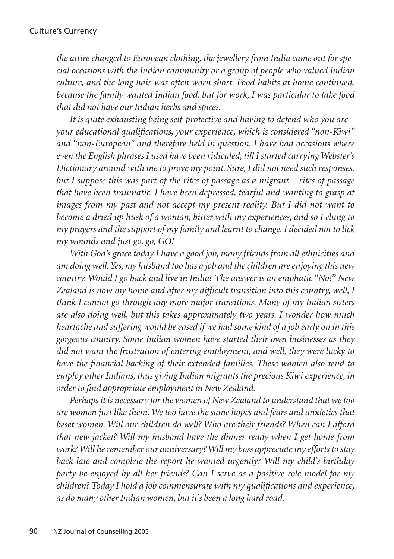*the attire changed to European clothing, the jewellery from India came out for special occasions with the Indian community or a group of people who valued Indian culture, and the long hair was often worn short. Food habits at home continued, because the family wanted Indian food, but for work, I was particular to take food that did not have our Indian herbs and spices.*

*It is quite exhausting being self-protective and having to defend who you are – your educational qualifications, your experience, which is considered "non-Kiwi" and "non-European" and therefore held in question. I have had occasions where even the English phrases I used have been ridiculed, till I started carrying Webster's Dictionary around with me to prove my point. Sure, I did not need such responses, but I suppose this was part of the rites of passage as a migrant – rites of passage that have been traumatic. I have been depressed, tearful and wanting to grasp at images from my past and not accept my present reality. But I did not want to become a dried up husk of a woman, bitter with my experiences, and so I clung to my prayers and the support of my family and learnt to change. I decided not to lick my wounds and just go, go, GO!* 

*With God's grace today I have a good job, many friends from all ethnicities and am doing well. Yes, my husband too has a job and the children are enjoying this new country. Would I go back and live in India? The answer is an emphatic "No!" New Zealand is now my home and after my difficult transition into this country, well, I think I cannot go through any more major transitions. Many of my Indian sisters are also doing well, but this takes approximately two years. I wonder how much heartache and suffering would be eased if we had some kind of a job early on in this gorgeous country. Some Indian women have started their own businesses as they did not want the frustration of entering employment, and well, they were lucky to have the financial backing of their extended families. These women also tend to employ other Indians, thus giving Indian migrants the precious Kiwi experience, in order to find appropriate employment in New Zealand.*

*Perhaps it is necessary for the women of New Zealand to understand that we too are women just like them. We too have the same hopes and fears and anxieties that beset women. Will our children do well? Who are their friends? When can I afford that new jacket? Will my husband have the dinner ready when I get home from work? Will he remember our anniversary? Will my boss appreciate my efforts to stay back late and complete the report he wanted urgently? Will my child's birthday party be enjoyed by all her friends? Can I serve as a positive role model for my children? Today I hold a job commensurate with my qualifications and experience, as do many other Indian women, but it's been a long hard road.*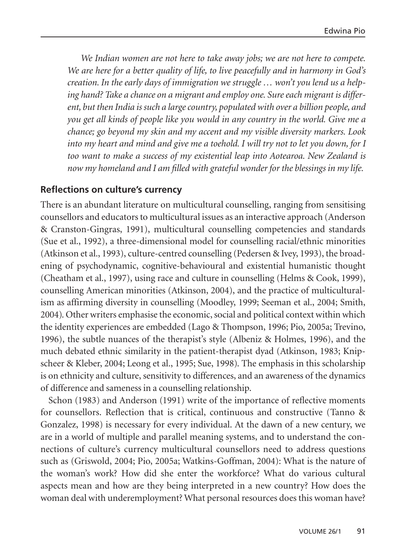*We Indian women are not here to take away jobs; we are not here to compete. We are here for a better quality of life, to live peacefully and in harmony in God's creation. In the early days of immigration we struggle … won't you lend us a helping hand? Take a chance on a migrant and employ one. Sure each migrant is different, but then India is such a large country, populated with over a billion people, and you get all kinds of people like you would in any country in the world. Give me a chance; go beyond my skin and my accent and my visible diversity markers. Look into my heart and mind and give me a toehold. I will try not to let you down, for I too want to make a success of my existential leap into Aotearoa. New Zealand is now my homeland and I am filled with grateful wonder for the blessings in my life.*

## **Reflections on culture's currency**

There is an abundant literature on multicultural counselling, ranging from sensitising counsellors and educators to multicultural issues as an interactive approach (Anderson & Cranston-Gingras, 1991), multicultural counselling competencies and standards (Sue et al., 1992), a three-dimensional model for counselling racial/ethnic minorities (Atkinson et al., 1993), culture-centred counselling (Pedersen & Ivey, 1993), the broadening of psychodynamic, cognitive-behavioural and existential humanistic thought (Cheatham et al., 1997), using race and culture in counselling (Helms & Cook, 1999), counselling American minorities (Atkinson, 2004), and the practice of multiculturalism as affirming diversity in counselling (Moodley, 1999; Seeman et al., 2004; Smith, 2004). Other writers emphasise the economic, social and political context within which the identity experiences are embedded (Lago & Thompson, 1996; Pio, 2005a; Trevino, 1996), the subtle nuances of the therapist's style (Albeniz & Holmes, 1996), and the much debated ethnic similarity in the patient-therapist dyad (Atkinson, 1983; Knipscheer & Kleber, 2004; Leong et al., 1995; Sue, 1998). The emphasis in this scholarship is on ethnicity and culture, sensitivity to differences, and an awareness of the dynamics of difference and sameness in a counselling relationship.

Schon (1983) and Anderson (1991) write of the importance of reflective moments for counsellors. Reflection that is critical, continuous and constructive (Tanno & Gonzalez, 1998) is necessary for every individual. At the dawn of a new century, we are in a world of multiple and parallel meaning systems, and to understand the connections of culture's currency multicultural counsellors need to address questions such as (Griswold, 2004; Pio, 2005a; Watkins-Goffman, 2004): What is the nature of the woman's work? How did she enter the workforce? What do various cultural aspects mean and how are they being interpreted in a new country? How does the woman deal with underemployment? What personal resources does this woman have?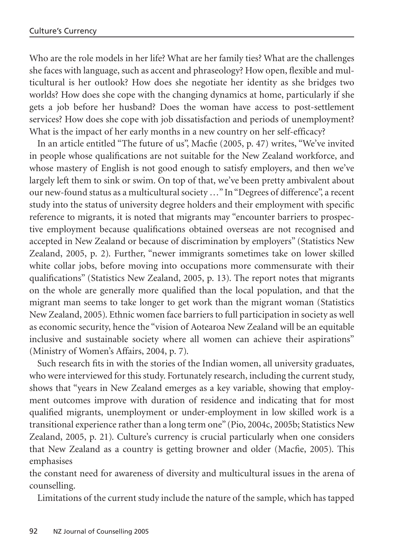Who are the role models in her life? What are her family ties? What are the challenges she faces with language, such as accent and phraseology? How open, flexible and multicultural is her outlook? How does she negotiate her identity as she bridges two worlds? How does she cope with the changing dynamics at home, particularly if she gets a job before her husband? Does the woman have access to post-settlement services? How does she cope with job dissatisfaction and periods of unemployment? What is the impact of her early months in a new country on her self-efficacy?

In an article entitled "The future of us", Macfie (2005, p. 47) writes, "We've invited in people whose qualifications are not suitable for the New Zealand workforce, and whose mastery of English is not good enough to satisfy employers, and then we've largely left them to sink or swim. On top of that, we've been pretty ambivalent about our new-found status as a multicultural society …" In "Degrees of difference", a recent study into the status of university degree holders and their employment with specific reference to migrants, it is noted that migrants may "encounter barriers to prospective employment because qualifications obtained overseas are not recognised and accepted in New Zealand or because of discrimination by employers" (Statistics New Zealand, 2005, p. 2). Further, "newer immigrants sometimes take on lower skilled white collar jobs, before moving into occupations more commensurate with their qualifications" (Statistics New Zealand, 2005, p. 13). The report notes that migrants on the whole are generally more qualified than the local population, and that the migrant man seems to take longer to get work than the migrant woman (Statistics New Zealand, 2005). Ethnic women face barriers to full participation in society as well as economic security, hence the "vision of Aotearoa New Zealand will be an equitable inclusive and sustainable society where all women can achieve their aspirations" (Ministry of Women's Affairs, 2004, p. 7).

Such research fits in with the stories of the Indian women, all university graduates, who were interviewed for this study. Fortunately research, including the current study, shows that "years in New Zealand emerges as a key variable, showing that employment outcomes improve with duration of residence and indicating that for most qualified migrants, unemployment or under-employment in low skilled work is a transitional experience rather than a long term one" (Pio, 2004c, 2005b; Statistics New Zealand, 2005, p. 21). Culture's currency is crucial particularly when one considers that New Zealand as a country is getting browner and older (Macfie, 2005). This emphasises

the constant need for awareness of diversity and multicultural issues in the arena of counselling.

Limitations of the current study include the nature of the sample, which has tapped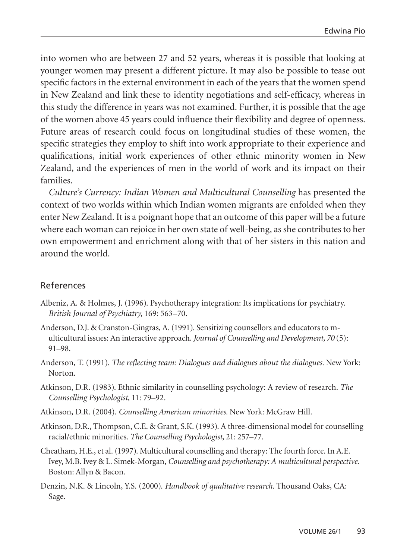into women who are between 27 and 52 years, whereas it is possible that looking at younger women may present a different picture. It may also be possible to tease out specific factors in the external environment in each of the years that the women spend in New Zealand and link these to identity negotiations and self-efficacy, whereas in this study the difference in years was not examined. Further, it is possible that the age of the women above 45 years could influence their flexibility and degree of openness. Future areas of research could focus on longitudinal studies of these women, the specific strategies they employ to shift into work appropriate to their experience and qualifications, initial work experiences of other ethnic minority women in New Zealand, and the experiences of men in the world of work and its impact on their families.

*Culture's Currency: Indian Women and Multicultural Counselling* has presented the context of two worlds within which Indian women migrants are enfolded when they enter New Zealand. It is a poignant hope that an outcome of this paper will be a future where each woman can rejoice in her own state of well-being, as she contributes to her own empowerment and enrichment along with that of her sisters in this nation and around the world.

# References

- Albeniz, A. & Holmes, J. (1996). Psychotherapy integration: Its implications for psychiatry. *British Journal of Psychiatry,* 169: 563–70.
- Anderson, D.J. & Cranston-Gingras, A. (1991). Sensitizing counsellors and educators to multicultural issues: An interactive approach. *Journal of Counselling and Development, 70* (5): 91–98.
- Anderson, T. (1991). *The reflecting team: Dialogues and dialogues about the dialogues.* New York: Norton.
- Atkinson, D.R. (1983). Ethnic similarity in counselling psychology: A review of research. *The Counselling Psychologist,* 11: 79–92.
- Atkinson, D.R. (2004). *Counselling American minorities.* New York: McGraw Hill.
- Atkinson, D.R., Thompson, C.E. & Grant, S.K. (1993). A three-dimensional model for counselling racial/ethnic minorities. *The Counselling Psychologist,* 21: 257–77.
- Cheatham, H.E., et al. (1997). Multicultural counselling and therapy: The fourth force. In A.E. Ivey, M.B. Ivey & L. Simek-Morgan, *Counselling and psychotherapy: A multicultural perspective.* Boston: Allyn & Bacon.
- Denzin, N.K. & Lincoln, Y.S. (2000). *Handbook of qualitative research.* Thousand Oaks, CA: Sage.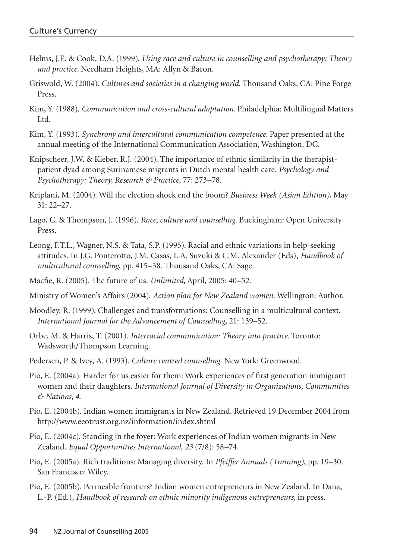- Helms, J.E. & Cook, D.A. (1999). *Using race and culture in counselling and psychotherapy: Theory and practice.* Needham Heights, MA: Allyn & Bacon.
- Griswold, W. (2004). *Cultures and societies in a changing world.* Thousand Oaks, CA: Pine Forge Press.
- Kim, Y. (1988). *Communication and cross-cultural adaptation.* Philadelphia: Multilingual Matters Ltd.
- Kim, Y. (1993). *Synchrony and intercultural communication competence.* Paper presented at the annual meeting of the International Communication Association, Washington, DC.
- Knipscheer, J.W. & Kleber, R.J. (2004). The importance of ethnic similarity in the therapistpatient dyad among Surinamese migrants in Dutch mental health care. *Psychology and Psychotherapy: Theory, Research & Practice,* 77: 273–78.
- Kriplani, M. (2004). Will the election shock end the boom? *Business Week (Asian Edition),* May 31: 22–27.
- Lago, C. & Thompson, J. (1996). *Race, culture and counselling.* Buckingham: Open University Press.
- Leong, F.T.L., Wagner, N.S. & Tata, S.P. (1995). Racial and ethnic variations in help-seeking attitudes. In J.G. Ponterotto, J.M. Casas, L.A. Suzuki & C.M. Alexander (Eds), *Handbook of multicultural counselling*, pp. 415–38. Thousand Oaks, CA: Sage.
- Macfie, R. (2005). The future of us. *Unlimited,* April, 2005: 40–52.
- Ministry of Women's Affairs (2004). *Action plan for New Zealand women.* Wellington: Author.
- Moodley, R. (1999). Challenges and transformations: Counselling in a multicultural context. *International Journal for the Advancement of Counselling,* 21: 139–52.
- Orbe, M. & Harris, T. (2001). *Interracial communication: Theory into practice.* Toronto: Wadsworth/Thompson Learning.
- Pedersen, P. & Ivey, A. (1993). *Culture centred counselling*. New York: Greenwood.
- Pio, E. (2004a). Harder for us easier for them: Work experiences of first generation immigrant women and their daughters. *International Journal of Diversity in Organizations, Communities & Nations, 4*.
- Pio, E. (2004b). Indian women immigrants in New Zealand. Retrieved 19 December 2004 from http://www.eeotrust.org.nz/information/index.shtml
- Pio, E. (2004c). Standing in the foyer: Work experiences of Indian women migrants in New Zealand. *Equal Opportunities International, 23* (7/8): 58–74.
- Pio, E. (2005a). Rich traditions: Managing diversity. In *Pfeiffer Annuals (Training)*, pp. 19–30. San Francisco: Wiley.
- Pio, E. (2005b). Permeable frontiers? Indian women entrepreneurs in New Zealand. In Dana, L.-P. (Ed.), *Handbook of research on ethnic minority indigenous entrepreneurs*, in press.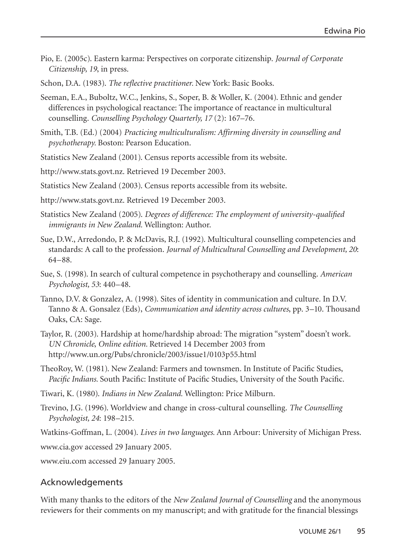- Pio, E. (2005c). Eastern karma: Perspectives on corporate citizenship. *Journal of Corporate Citizenship, 19*, in press.
- Schon, D.A. (1983). *The reflective practitioner.* New York: Basic Books.
- Seeman, E.A., Buboltz, W.C., Jenkins, S., Soper, B. & Woller, K. (2004). Ethnic and gender differences in psychological reactance: The importance of reactance in multicultural counselling. *Counselling Psychology Quarterly, 17* (2): 167–76.
- Smith, T.B. (Ed.) (2004) *Practicing multiculturalism: Affirming diversity in counselling and psychotherapy.* Boston: Pearson Education.
- Statistics New Zealand (2001). Census reports accessible from its website.
- http://www.stats.govt.nz. Retrieved 19 December 2003.
- Statistics New Zealand (2003). Census reports accessible from its website.
- http://www.stats.govt.nz. Retrieved 19 December 2003.
- Statistics New Zealand (2005). *Degrees of difference: The employment of university-qualified immigrants in New Zealand.* Wellington: Author.
- Sue, D.W., Arredondo, P. & McDavis, R.J. (1992). Multicultural counselling competencies and standards: A call to the profession. *Journal of Multicultural Counselling and Development, 20*: 64–88.
- Sue, S. (1998). In search of cultural competence in psychotherapy and counselling. *American Psychologist, 53*: 440–48.
- Tanno, D.V. & Gonzalez, A. (1998). Sites of identity in communication and culture. In D.V. Tanno & A. Gonsalez (Eds), *Communication and identity across cultures*, pp. 3–10. Thousand Oaks, CA: Sage.
- Taylor, R. (2003). Hardship at home/hardship abroad: The migration "system" doesn't work. *UN Chronicle*, *Online edition.* Retrieved 14 December 2003 from http://www.un.org/Pubs/chronicle/2003/issue1/0103p55.html
- TheoRoy, W. (1981). New Zealand: Farmers and townsmen. In Institute of Pacific Studies, *Pacific Indians.* South Pacific: Institute of Pacific Studies, University of the South Pacific.
- Tiwari, K. (1980). *Indians in New Zealand.* Wellington: Price Milburn.
- Trevino, J.G. (1996). Worldview and change in cross-cultural counselling. *The Counselling Psychologist, 24*: 198–215.
- Watkins-Goffman, L. (2004). *Lives in two languages.* Ann Arbour: University of Michigan Press.

www.cia.gov accessed 29 January 2005.

www.eiu.com accessed 29 January 2005.

# Acknowledgements

With many thanks to the editors of the *New Zealand Journal of Counselling* and the anonymous reviewers for their comments on my manuscript; and with gratitude for the financial blessings